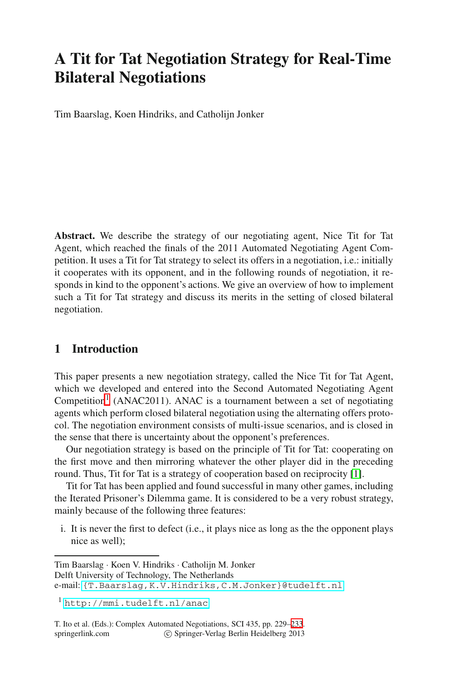# **A Tit for Tat Negotiation Strategy for Real-Time Bilateral Negotiations**

Tim Baarslag, Koen Hindriks, and Catholijn Jonker

**Abstract.** We describe the strategy of our negotiating agent, Nice Tit for Tat Agent, which reached the finals of the 2011 Automated Negotiating Agent Competition. It uses a Tit for Tat strategy to select its offers in a negotiation, i.e.: initially it cooperates with its opponent, and in the following rounds of negotiation, it responds in kind to the opponent's actions. We give an overview of how to implement such a Tit for Tat strategy and discuss its merits in the setting of closed bilateral negotiation.

## **1 Introduction**

This paper presents a new negotiation strategy, called the Nice Tit for Tat Agent, which we developed and entered into the Second Automated Negotiating Agent Competition<sup>1</sup> (ANAC2011). ANAC is a tournament between a set of negotiating agents which perform closed bilateral negotiation using the alternating offers protocol. The negotiation environment consists of multi-issue scenarios, and is closed in the sense that there is uncertainty about the opponent's preferences.

Our negotiation strategy is based on the principle of Tit for Tat: cooperating on the first move and then mirroring whatever the other player did in the preceding round. Thus, Tit for Tat is a strategy of cooperation based on reciprocity [1].

Tit for Tat has been applied and found successful in many other games, including [the]({T.Baarslag,K.V.Hindriks,C.M.Jonker}@tudelft.nl) [Iterated]({T.Baarslag,K.V.Hindriks,C.M.Jonker}@tudelft.nl) [Prisoner's]({T.Baarslag,K.V.Hindriks,C.M.Jonker}@tudelft.nl) [Dilemma]({T.Baarslag,K.V.Hindriks,C.M.Jonker}@tudelft.nl) [game.]({T.Baarslag,K.V.Hindriks,C.M.Jonker}@tudelft.nl) [It]({T.Baarslag,K.V.Hindriks,C.M.Jonker}@tudelft.nl) [is]({T.Baarslag,K.V.Hindriks,C.M.Jonker}@tudelft.nl) [conside]({T.Baarslag,K.V.Hindriks,C.M.Jonker}@tudelft.nl)red to be a very robust strategy, [mainly because of](http://mmi.tudelft.nl/anac) the following three features:

i. It is never the first to defect (i.e., i[t pl](#page-4-0)ays nice as long as the the opponent plays nice as well);

Tim Baarslag · Koen V. Hindriks · Catholijn M. Jonker Delft University of Technology, The Netherlands e-mail: {T.Baarslag, K.V.Hindriks, C.M.Jonker}@tudelft.nl

<sup>1</sup> http://mmi.tudelft.nl/anac

T. Ito et al. (Eds.): Complex Automated Negotiations, SCI 435, pp. 229–233. springerlink.com c Springer-Verlag Berlin Heidelberg 2013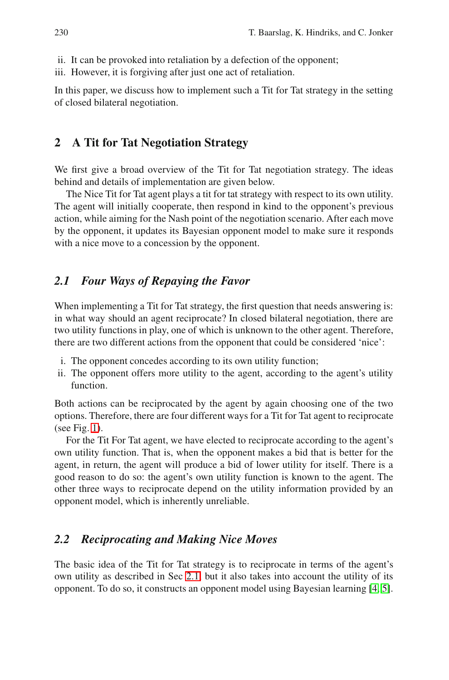ii. It can be provoked into retaliation by a defection of the opponent;

iii. However, it is forgiving after just one act of retaliation.

In this paper, we discuss how to implement such a Tit for Tat strategy in the setting of closed bilateral negotiation.

#### **2 A Tit for Tat Negotiation Strategy**

We first give a broad overview of the Tit for Tat negotiation strategy. The ideas behind and details of implementation are given below.

The Nice Tit for Tat agent plays a tit for tat strategy with respect to its own utility. The agent will initially cooperate, then respond in kind to the opponent's previous action, while aiming for the Nash point of the negotiation scenario. After each move by the opponent, it updates its Bayesian opponent model to make sure it responds with a nice move to a concession by the opponent.

# *2.1 Four Ways of Repaying the Favor*

When implementing a Tit for Tat strategy, the first question that needs answering is: in what way should an agent reciprocate? In closed bilateral negotiation, there are two utility functions in play, one of which is unknown to the other agent. Therefore, there are two different actions from the opponent that could be considered 'nice':

- i. The opponent concedes according to its own utility function;
- ii. The opponent offers more utility to the agent, according to the agent's utility function.

Both actions can be reciprocated by the agent by again choosing one of the two options. Therefore, there are four different ways for a Tit for Tat agent to reciprocate (see Fig. 1).

For the Tit For Tat agent, we have elected to reciprocate according to the agent's own utility function. That is, when the opponent makes a bid that is better for the agent, in return, the agent will produce a bid of lower utility for itself. There is a good reason to do so: the agent's own utility function is known to the agent. The other three ways to reciprocate depend on the utility information provided by an opponent model, which is inherently unreliable.

#### *2.2 Reciprocating and Making Nice Moves*

The basic idea of the Tit for Tat strategy is to reciprocate in terms of the agent's own utility as described in Sec 2.1, but it also takes into account the utility of its opponent. To do so, it constructs an opponent model using Bayesian learning [4, 5].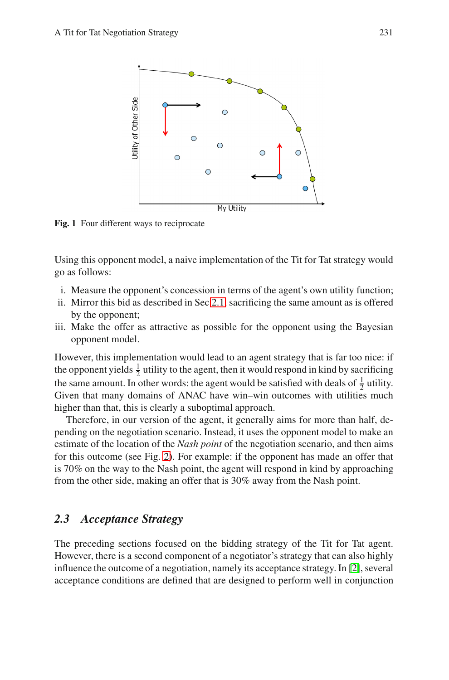

**Fig. 1** Four different ways to reciprocate

Using this opponent model, a naive implementation of the Tit for Tat strategy would go as follows:

- i. Measure the opponent's concession in terms of the agent's own utility function;
- ii. Mirror this bid as described in Sec 2.1, sacrificing the same amount as is offered by the opponent;
- iii. Make the offer as attractive as possible for the opponent using the Bayesian opponent model.

However, this implementation would lead to an agent strategy that is far too nice: if the opponent yields  $\frac{1}{2}$  utility to the agent, then it would respond in kind by sacrificing the same amount. In other words: the agent would be satisfied with deals of  $\frac{1}{2}$  utility. Given that many domains of ANAC have win–win outcomes with utilities much higher than that, this is clearly a suboptimal approach.

Therefore, in our version of the agent, it generally aims for more than half, depending on the negotiation scenario. Instead, it uses the opponent model to make an estimate of the location of the *Nash point* of the negotiation scenario, and then aims for this outcome (see Fig. 2). For example: if the opponent has made an offer that is 70% on the way to the Nash point, the agent will respond in kind by approaching from the other side, making an offer that is 30% away from the Nash point.

# *2.3 Acceptance Strategy*

The preceding sections focused on the bidding strategy of the Tit for Tat agent. However, there is a second component of a negotiator's strategy that can also highly influence the outcome of a negotiation, namely its acceptance strategy. In [2], several acceptance conditions are defined that are designed to perform well in conjunction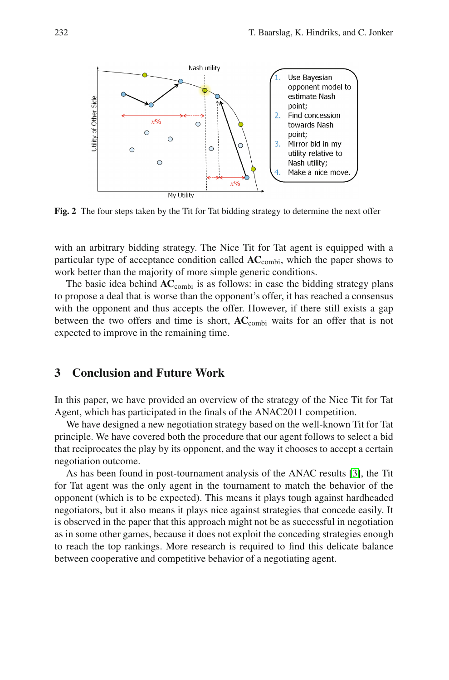

**Fig. 2** The four steps taken by the Tit for Tat bidding strategy to determine the next offer

with an arbitrary bidding strategy. The Nice Tit for Tat agent is equipped with a particular type of acceptance condition called AC<sub>combi</sub>, which the paper shows to work better than the majority of more simple generic conditions.

The basic idea behind  $AC_{\text{combi}}$  is as follows: in case the bidding strategy plans to propose a deal that is worse than the opponent's offer, it has reached a consensus with the opponent and thus accepts the offer. However, if there still exists a gap between the two offers and time is short,  $AC_{\text{combi}}$  waits for an offer that is not expected to improve in the remaining time.

#### **3 Conclusion and Future Work**

In this paper, we have provided an overview of the strategy of the Nice Tit for Tat Agent, which has participated in the finals of the ANAC2011 competition.

We have designed a new negotiation strategy based on the well-known Tit for Tat principle. We have covered both the procedure that our agent follows to select a bid that reciprocates the play by its opponent, and the way it chooses to accept a certain negotiation outcome.

As has been found in post-tournament analysis of the ANAC results [3], the Tit for Tat agent was the only agent in the tournament to match the behavior of the opponent (which is to be expected). This means it plays tough against hardheaded negotiators, but it also means it plays nice against strategies that concede easily. It is observed in the paper that this approach might not be as successful in negotiation as in some other games, because it does not exploit the conceding strategies enough to reach the top rankings. More research is required to find this delicate balance between cooperative and competitive behavior of a negotiating agent.